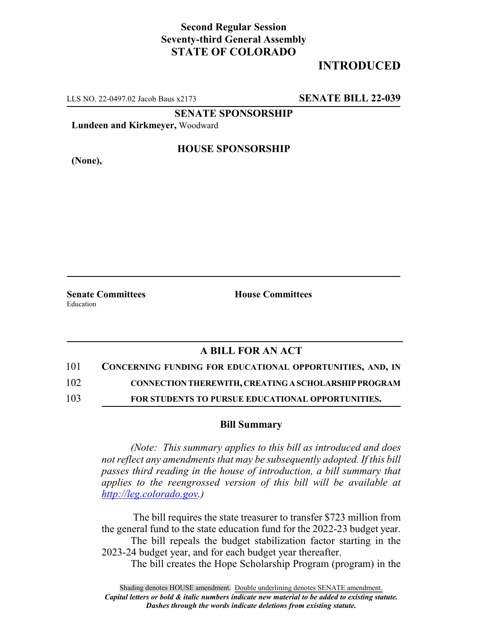### **Second Regular Session Seventy-third General Assembly STATE OF COLORADO**

# **INTRODUCED**

LLS NO. 22-0497.02 Jacob Baus x2173 **SENATE BILL 22-039**

**SENATE SPONSORSHIP**

**Lundeen and Kirkmeyer,** Woodward

**(None),**

### **HOUSE SPONSORSHIP**

**Senate Committees House Committees** Education

# **A BILL FOR AN ACT**

101 **CONCERNING FUNDING FOR EDUCATIONAL OPPORTUNITIES, AND, IN**

102 **CONNECTION THEREWITH, CREATING A SCHOLARSHIP PROGRAM**

103 **FOR STUDENTS TO PURSUE EDUCATIONAL OPPORTUNITIES.**

#### **Bill Summary**

*(Note: This summary applies to this bill as introduced and does not reflect any amendments that may be subsequently adopted. If this bill passes third reading in the house of introduction, a bill summary that applies to the reengrossed version of this bill will be available at http://leg.colorado.gov.)*

 The bill requires the state treasurer to transfer \$723 million from the general fund to the state education fund for the 2022-23 budget year.

The bill repeals the budget stabilization factor starting in the 2023-24 budget year, and for each budget year thereafter.

The bill creates the Hope Scholarship Program (program) in the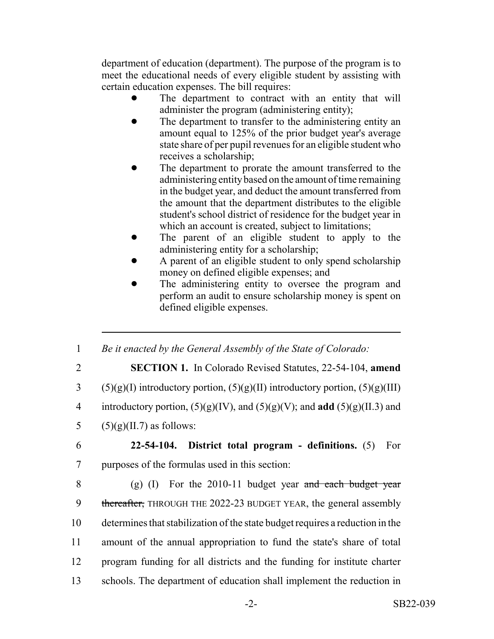department of education (department). The purpose of the program is to meet the educational needs of every eligible student by assisting with certain education expenses. The bill requires:

- The department to contract with an entity that will administer the program (administering entity);
- The department to transfer to the administering entity an amount equal to 125% of the prior budget year's average state share of per pupil revenues for an eligible student who receives a scholarship;
- The department to prorate the amount transferred to the administering entity based on the amount of time remaining in the budget year, and deduct the amount transferred from the amount that the department distributes to the eligible student's school district of residence for the budget year in which an account is created, subject to limitations;
- The parent of an eligible student to apply to the administering entity for a scholarship;
- ! A parent of an eligible student to only spend scholarship money on defined eligible expenses; and
- The administering entity to oversee the program and perform an audit to ensure scholarship money is spent on defined eligible expenses.

1 *Be it enacted by the General Assembly of the State of Colorado:*

2 **SECTION 1.** In Colorado Revised Statutes, 22-54-104, **amend**

3 (5)(g)(I) introductory portion,  $(5)(g)(II)$  introductory portion,  $(5)(g)(III)$ 

4 introductory portion, (5)(g)(IV), and (5)(g)(V); and **add** (5)(g)(II.3) and

5  $(5)(g)(II.7)$  as follows:

6 **22-54-104. District total program - definitions.** (5) For 7 purposes of the formulas used in this section:

8 (g) (I) For the 2010-11 budget year and each budget year 9 thereafter, THROUGH THE 2022-23 BUDGET YEAR, the general assembly determines that stabilization of the state budget requires a reduction in the amount of the annual appropriation to fund the state's share of total program funding for all districts and the funding for institute charter schools. The department of education shall implement the reduction in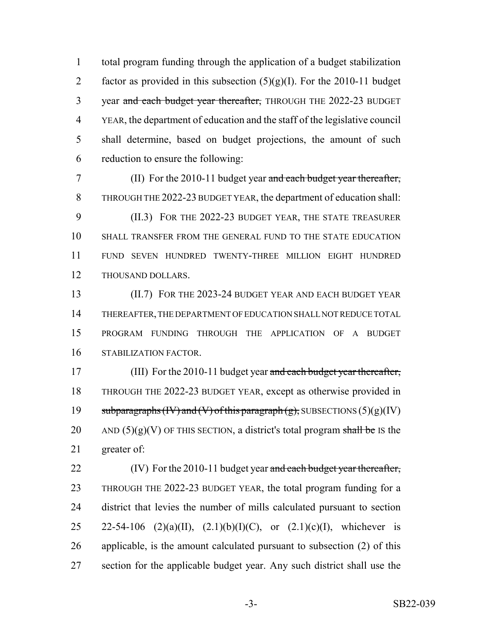total program funding through the application of a budget stabilization 2 factor as provided in this subsection  $(5)(g)(I)$ . For the 2010-11 budget 3 year and each budget year thereafter, THROUGH THE 2022-23 BUDGET YEAR, the department of education and the staff of the legislative council shall determine, based on budget projections, the amount of such reduction to ensure the following:

7 (II) For the 2010-11 budget year and each budget year thereafter, THROUGH THE 2022-23 BUDGET YEAR, the department of education shall: (II.3) FOR THE 2022-23 BUDGET YEAR, THE STATE TREASURER SHALL TRANSFER FROM THE GENERAL FUND TO THE STATE EDUCATION FUND SEVEN HUNDRED TWENTY-THREE MILLION EIGHT HUNDRED THOUSAND DOLLARS.

 (II.7) FOR THE 2023-24 BUDGET YEAR AND EACH BUDGET YEAR THEREAFTER, THE DEPARTMENT OF EDUCATION SHALL NOT REDUCE TOTAL PROGRAM FUNDING THROUGH THE APPLICATION OF A BUDGET STABILIZATION FACTOR.

17 (III) For the 2010-11 budget year and each budget year thereafter, THROUGH THE 2022-23 BUDGET YEAR, except as otherwise provided in 19 subparagraphs  $(W)$  and  $(V)$  of this paragraph  $(g)$ , SUBSECTIONS  $(5)(g)(IV)$ 20 AND (5)(g)(V) OF THIS SECTION, a district's total program shall be IS the greater of:

22 (IV) For the 2010-11 budget year and each budget year thereafter, THROUGH THE 2022-23 BUDGET YEAR, the total program funding for a district that levies the number of mills calculated pursuant to section 25 22-54-106 (2)(a)(II), (2.1)(b)(I)(C), or (2.1)(c)(I), whichever is applicable, is the amount calculated pursuant to subsection (2) of this section for the applicable budget year. Any such district shall use the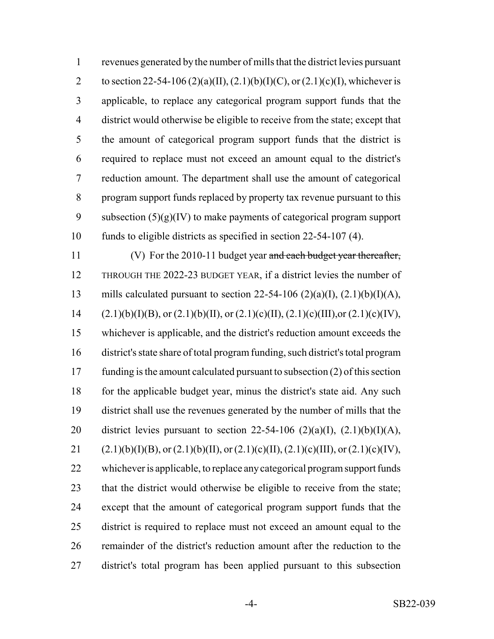revenues generated by the number of mills that the district levies pursuant 2 to section 22-54-106 (2)(a)(II), (2.1)(b)(I)(C), or (2.1)(c)(I), whichever is applicable, to replace any categorical program support funds that the district would otherwise be eligible to receive from the state; except that the amount of categorical program support funds that the district is required to replace must not exceed an amount equal to the district's reduction amount. The department shall use the amount of categorical program support funds replaced by property tax revenue pursuant to this 9 subsection  $(5)(g)(IV)$  to make payments of categorical program support funds to eligible districts as specified in section 22-54-107 (4).

11 (V) For the 2010-11 budget year and each budget year thereafter, THROUGH THE 2022-23 BUDGET YEAR, if a district levies the number of 13 mills calculated pursuant to section 22-54-106 (2)(a)(I),  $(2.1)(b)(I)(A)$ , 14 (2.1)(b)(I)(B), or (2.1)(b)(II), or (2.1)(c)(II), (2.1)(c)(III),or (2.1)(c)(IV), whichever is applicable, and the district's reduction amount exceeds the district's state share of total program funding, such district's total program funding is the amount calculated pursuant to subsection (2) of this section 18 for the applicable budget year, minus the district's state aid. Any such district shall use the revenues generated by the number of mills that the 20 district levies pursuant to section 22-54-106  $(2)(a)(I)$ ,  $(2.1)(b)(I)(A)$ , 21 (2.1)(b)(I)(B), or (2.1)(b)(II), or (2.1)(c)(II), (2.1)(c)(III), or (2.1)(c)(IV), whichever is applicable, to replace any categorical program support funds 23 that the district would otherwise be eligible to receive from the state; except that the amount of categorical program support funds that the district is required to replace must not exceed an amount equal to the remainder of the district's reduction amount after the reduction to the district's total program has been applied pursuant to this subsection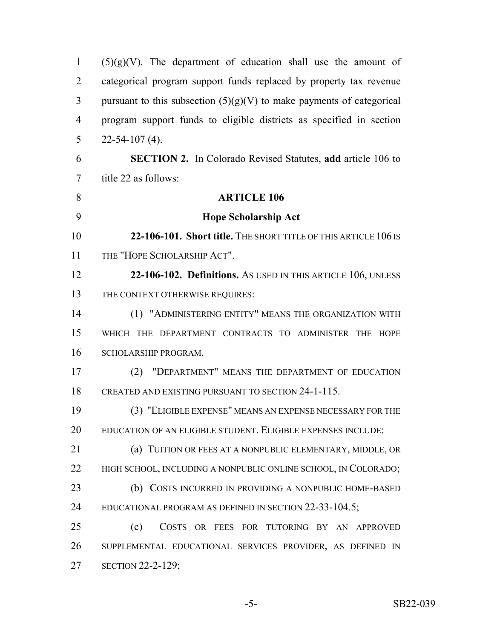| $\mathbf{1}$   | $(5)(g)(V)$ . The department of education shall use the amount of       |
|----------------|-------------------------------------------------------------------------|
| $\overline{2}$ | categorical program support funds replaced by property tax revenue      |
| 3              | pursuant to this subsection $(5)(g)(V)$ to make payments of categorical |
| $\overline{4}$ | program support funds to eligible districts as specified in section     |
| 5              | $22 - 54 - 107$ (4).                                                    |
| 6              | <b>SECTION 2.</b> In Colorado Revised Statutes, add article 106 to      |
| 7              | title 22 as follows:                                                    |
| 8              | <b>ARTICLE 106</b>                                                      |
| 9              | <b>Hope Scholarship Act</b>                                             |
| 10             | 22-106-101. Short title. THE SHORT TITLE OF THIS ARTICLE 106 IS         |
| 11             | THE "HOPE SCHOLARSHIP ACT".                                             |
| 12             | 22-106-102. Definitions. As USED IN THIS ARTICLE 106, UNLESS            |
| 13             | THE CONTEXT OTHERWISE REQUIRES:                                         |
| 14             | (1) "ADMINISTERING ENTITY" MEANS THE ORGANIZATION WITH                  |
| 15             | WHICH THE DEPARTMENT CONTRACTS TO ADMINISTER THE HOPE                   |
| 16             | SCHOLARSHIP PROGRAM.                                                    |
| 17             | (2) "DEPARTMENT" MEANS THE DEPARTMENT OF EDUCATION                      |
| 18             | CREATED AND EXISTING PURSUANT TO SECTION 24-1-115.                      |
| 19             | (3) "ELIGIBLE EXPENSE" MEANS AN EXPENSE NECESSARY FOR THE               |
| 20             | EDUCATION OF AN ELIGIBLE STUDENT. ELIGIBLE EXPENSES INCLUDE:            |
| 21             | (a) TUITION OR FEES AT A NONPUBLIC ELEMENTARY, MIDDLE, OR               |
| 22             | HIGH SCHOOL, INCLUDING A NONPUBLIC ONLINE SCHOOL, IN COLORADO;          |
| 23             | (b) COSTS INCURRED IN PROVIDING A NONPUBLIC HOME-BASED                  |
| 24             | EDUCATIONAL PROGRAM AS DEFINED IN SECTION 22-33-104.5;                  |
| 25             | (c)<br>COSTS OR FEES FOR TUTORING BY AN APPROVED                        |
| 26             | SUPPLEMENTAL EDUCATIONAL SERVICES PROVIDER, AS DEFINED IN               |
| 27             | <b>SECTION 22-2-129;</b>                                                |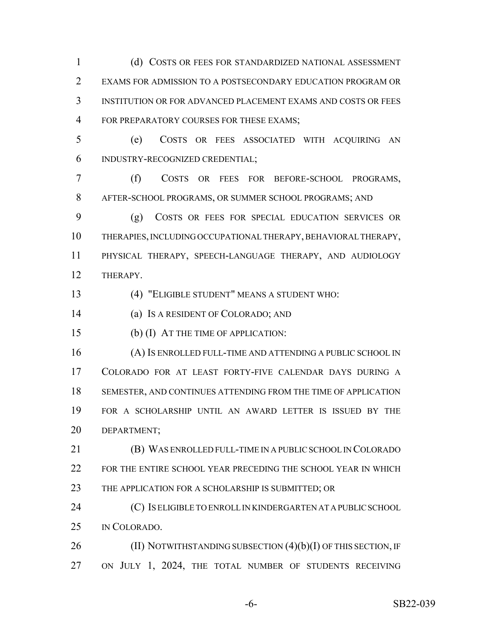(d) COSTS OR FEES FOR STANDARDIZED NATIONAL ASSESSMENT EXAMS FOR ADMISSION TO A POSTSECONDARY EDUCATION PROGRAM OR INSTITUTION OR FOR ADVANCED PLACEMENT EXAMS AND COSTS OR FEES 4 FOR PREPARATORY COURSES FOR THESE EXAMS;

 (e) COSTS OR FEES ASSOCIATED WITH ACQUIRING AN INDUSTRY-RECOGNIZED CREDENTIAL;

 (f) COSTS OR FEES FOR BEFORE-SCHOOL PROGRAMS, AFTER-SCHOOL PROGRAMS, OR SUMMER SCHOOL PROGRAMS; AND

 (g) COSTS OR FEES FOR SPECIAL EDUCATION SERVICES OR THERAPIES, INCLUDING OCCUPATIONAL THERAPY, BEHAVIORAL THERAPY, PHYSICAL THERAPY, SPEECH-LANGUAGE THERAPY, AND AUDIOLOGY THERAPY.

(4) "ELIGIBLE STUDENT" MEANS A STUDENT WHO:

(a) IS A RESIDENT OF COLORADO; AND

(b) (I) AT THE TIME OF APPLICATION:

 (A) IS ENROLLED FULL-TIME AND ATTENDING A PUBLIC SCHOOL IN COLORADO FOR AT LEAST FORTY-FIVE CALENDAR DAYS DURING A SEMESTER, AND CONTINUES ATTENDING FROM THE TIME OF APPLICATION FOR A SCHOLARSHIP UNTIL AN AWARD LETTER IS ISSUED BY THE DEPARTMENT;

 (B) WAS ENROLLED FULL-TIME IN A PUBLIC SCHOOL IN COLORADO 22 FOR THE ENTIRE SCHOOL YEAR PRECEDING THE SCHOOL YEAR IN WHICH 23 THE APPLICATION FOR A SCHOLARSHIP IS SUBMITTED; OR

 (C) IS ELIGIBLE TO ENROLL IN KINDERGARTEN AT A PUBLIC SCHOOL IN COLORADO.

26 (II) NOTWITHSTANDING SUBSECTION (4)(b)(I) OF THIS SECTION, IF ON JULY 1, 2024, THE TOTAL NUMBER OF STUDENTS RECEIVING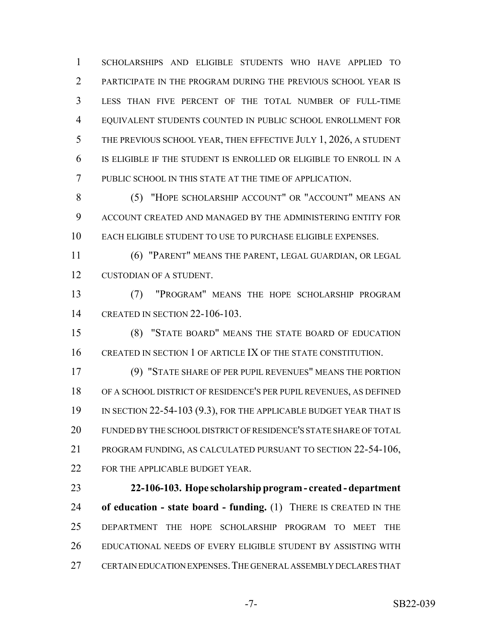SCHOLARSHIPS AND ELIGIBLE STUDENTS WHO HAVE APPLIED TO PARTICIPATE IN THE PROGRAM DURING THE PREVIOUS SCHOOL YEAR IS LESS THAN FIVE PERCENT OF THE TOTAL NUMBER OF FULL-TIME EQUIVALENT STUDENTS COUNTED IN PUBLIC SCHOOL ENROLLMENT FOR THE PREVIOUS SCHOOL YEAR, THEN EFFECTIVE JULY 1, 2026, A STUDENT IS ELIGIBLE IF THE STUDENT IS ENROLLED OR ELIGIBLE TO ENROLL IN A PUBLIC SCHOOL IN THIS STATE AT THE TIME OF APPLICATION.

 (5) "HOPE SCHOLARSHIP ACCOUNT" OR "ACCOUNT" MEANS AN ACCOUNT CREATED AND MANAGED BY THE ADMINISTERING ENTITY FOR EACH ELIGIBLE STUDENT TO USE TO PURCHASE ELIGIBLE EXPENSES.

 (6) "PARENT" MEANS THE PARENT, LEGAL GUARDIAN, OR LEGAL CUSTODIAN OF A STUDENT.

 (7) "PROGRAM" MEANS THE HOPE SCHOLARSHIP PROGRAM CREATED IN SECTION 22-106-103.

 (8) "STATE BOARD" MEANS THE STATE BOARD OF EDUCATION CREATED IN SECTION 1 OF ARTICLE IX OF THE STATE CONSTITUTION.

 (9) "STATE SHARE OF PER PUPIL REVENUES" MEANS THE PORTION OF A SCHOOL DISTRICT OF RESIDENCE'S PER PUPIL REVENUES, AS DEFINED 19 IN SECTION 22-54-103 (9.3), FOR THE APPLICABLE BUDGET YEAR THAT IS FUNDED BY THE SCHOOL DISTRICT OF RESIDENCE'S STATE SHARE OF TOTAL PROGRAM FUNDING, AS CALCULATED PURSUANT TO SECTION 22-54-106, 22 FOR THE APPLICABLE BUDGET YEAR.

 **22-106-103. Hope scholarship program - created - department of education - state board - funding.** (1) THERE IS CREATED IN THE DEPARTMENT THE HOPE SCHOLARSHIP PROGRAM TO MEET THE EDUCATIONAL NEEDS OF EVERY ELIGIBLE STUDENT BY ASSISTING WITH CERTAIN EDUCATION EXPENSES.THE GENERAL ASSEMBLY DECLARES THAT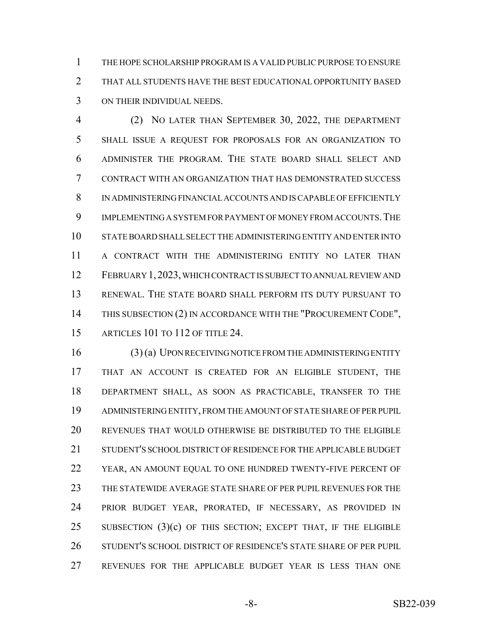THE HOPE SCHOLARSHIP PROGRAM IS A VALID PUBLIC PURPOSE TO ENSURE THAT ALL STUDENTS HAVE THE BEST EDUCATIONAL OPPORTUNITY BASED ON THEIR INDIVIDUAL NEEDS.

 (2) NO LATER THAN SEPTEMBER 30, 2022, THE DEPARTMENT SHALL ISSUE A REQUEST FOR PROPOSALS FOR AN ORGANIZATION TO ADMINISTER THE PROGRAM. THE STATE BOARD SHALL SELECT AND CONTRACT WITH AN ORGANIZATION THAT HAS DEMONSTRATED SUCCESS IN ADMINISTERING FINANCIAL ACCOUNTS AND IS CAPABLE OF EFFICIENTLY IMPLEMENTING A SYSTEM FOR PAYMENT OF MONEY FROM ACCOUNTS.THE STATE BOARD SHALL SELECT THE ADMINISTERING ENTITY AND ENTER INTO A CONTRACT WITH THE ADMINISTERING ENTITY NO LATER THAN FEBRUARY 1,2023, WHICH CONTRACT IS SUBJECT TO ANNUAL REVIEW AND RENEWAL. THE STATE BOARD SHALL PERFORM ITS DUTY PURSUANT TO 14 THIS SUBSECTION (2) IN ACCORDANCE WITH THE "PROCUREMENT CODE", ARTICLES 101 TO 112 OF TITLE 24.

 (3) (a) UPON RECEIVING NOTICE FROM THE ADMINISTERING ENTITY THAT AN ACCOUNT IS CREATED FOR AN ELIGIBLE STUDENT, THE DEPARTMENT SHALL, AS SOON AS PRACTICABLE, TRANSFER TO THE ADMINISTERING ENTITY, FROM THE AMOUNT OF STATE SHARE OF PER PUPIL REVENUES THAT WOULD OTHERWISE BE DISTRIBUTED TO THE ELIGIBLE STUDENT'S SCHOOL DISTRICT OF RESIDENCE FOR THE APPLICABLE BUDGET 22 YEAR, AN AMOUNT EQUAL TO ONE HUNDRED TWENTY-FIVE PERCENT OF THE STATEWIDE AVERAGE STATE SHARE OF PER PUPIL REVENUES FOR THE PRIOR BUDGET YEAR, PRORATED, IF NECESSARY, AS PROVIDED IN 25 SUBSECTION  $(3)(c)$  OF THIS SECTION; EXCEPT THAT, IF THE ELIGIBLE STUDENT'S SCHOOL DISTRICT OF RESIDENCE'S STATE SHARE OF PER PUPIL REVENUES FOR THE APPLICABLE BUDGET YEAR IS LESS THAN ONE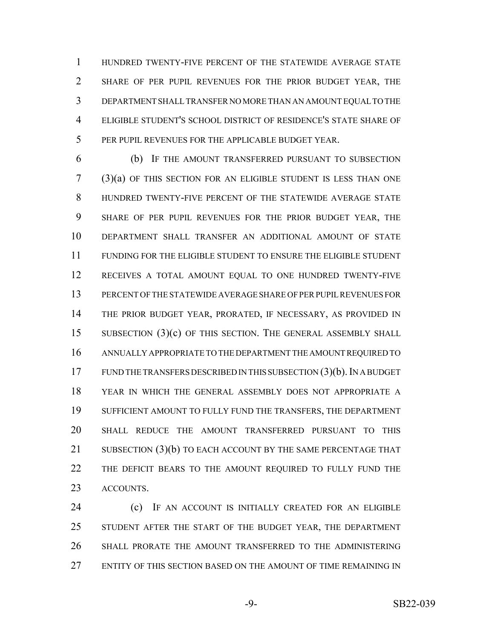HUNDRED TWENTY-FIVE PERCENT OF THE STATEWIDE AVERAGE STATE SHARE OF PER PUPIL REVENUES FOR THE PRIOR BUDGET YEAR, THE DEPARTMENT SHALL TRANSFER NO MORE THAN AN AMOUNT EQUAL TO THE ELIGIBLE STUDENT'S SCHOOL DISTRICT OF RESIDENCE'S STATE SHARE OF PER PUPIL REVENUES FOR THE APPLICABLE BUDGET YEAR.

 (b) IF THE AMOUNT TRANSFERRED PURSUANT TO SUBSECTION (3)(a) OF THIS SECTION FOR AN ELIGIBLE STUDENT IS LESS THAN ONE HUNDRED TWENTY-FIVE PERCENT OF THE STATEWIDE AVERAGE STATE SHARE OF PER PUPIL REVENUES FOR THE PRIOR BUDGET YEAR, THE DEPARTMENT SHALL TRANSFER AN ADDITIONAL AMOUNT OF STATE FUNDING FOR THE ELIGIBLE STUDENT TO ENSURE THE ELIGIBLE STUDENT RECEIVES A TOTAL AMOUNT EQUAL TO ONE HUNDRED TWENTY-FIVE PERCENT OF THE STATEWIDE AVERAGE SHARE OF PER PUPIL REVENUES FOR THE PRIOR BUDGET YEAR, PRORATED, IF NECESSARY, AS PROVIDED IN 15 SUBSECTION (3)(c) OF THIS SECTION. THE GENERAL ASSEMBLY SHALL ANNUALLY APPROPRIATE TO THE DEPARTMENT THE AMOUNT REQUIRED TO FUND THE TRANSFERS DESCRIBED IN THIS SUBSECTION (3)(b). IN A BUDGET YEAR IN WHICH THE GENERAL ASSEMBLY DOES NOT APPROPRIATE A SUFFICIENT AMOUNT TO FULLY FUND THE TRANSFERS, THE DEPARTMENT SHALL REDUCE THE AMOUNT TRANSFERRED PURSUANT TO THIS SUBSECTION (3)(b) TO EACH ACCOUNT BY THE SAME PERCENTAGE THAT 22 THE DEFICIT BEARS TO THE AMOUNT REQUIRED TO FULLY FUND THE ACCOUNTS.

 (c) IF AN ACCOUNT IS INITIALLY CREATED FOR AN ELIGIBLE STUDENT AFTER THE START OF THE BUDGET YEAR, THE DEPARTMENT SHALL PRORATE THE AMOUNT TRANSFERRED TO THE ADMINISTERING ENTITY OF THIS SECTION BASED ON THE AMOUNT OF TIME REMAINING IN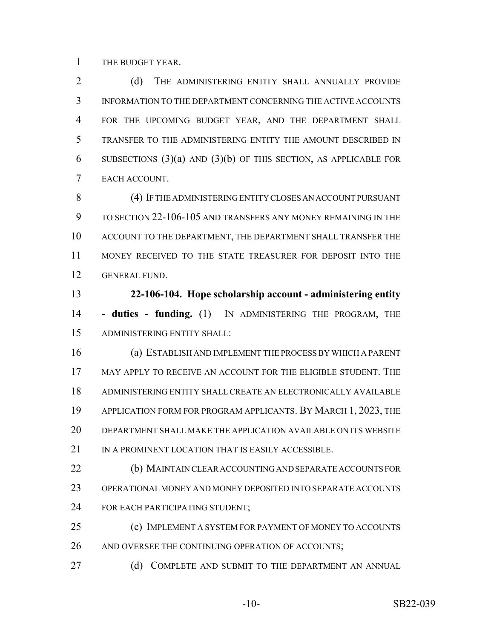THE BUDGET YEAR.

2 (d) THE ADMINISTERING ENTITY SHALL ANNUALLY PROVIDE INFORMATION TO THE DEPARTMENT CONCERNING THE ACTIVE ACCOUNTS FOR THE UPCOMING BUDGET YEAR, AND THE DEPARTMENT SHALL TRANSFER TO THE ADMINISTERING ENTITY THE AMOUNT DESCRIBED IN 6 SUBSECTIONS  $(3)(a)$  AND  $(3)(b)$  OF THIS SECTION, AS APPLICABLE FOR EACH ACCOUNT.

 (4) IF THE ADMINISTERING ENTITY CLOSES AN ACCOUNT PURSUANT TO SECTION 22-106-105 AND TRANSFERS ANY MONEY REMAINING IN THE ACCOUNT TO THE DEPARTMENT, THE DEPARTMENT SHALL TRANSFER THE MONEY RECEIVED TO THE STATE TREASURER FOR DEPOSIT INTO THE GENERAL FUND.

 **22-106-104. Hope scholarship account - administering entity - duties - funding.** (1) IN ADMINISTERING THE PROGRAM, THE ADMINISTERING ENTITY SHALL:

 (a) ESTABLISH AND IMPLEMENT THE PROCESS BY WHICH A PARENT MAY APPLY TO RECEIVE AN ACCOUNT FOR THE ELIGIBLE STUDENT. THE ADMINISTERING ENTITY SHALL CREATE AN ELECTRONICALLY AVAILABLE APPLICATION FORM FOR PROGRAM APPLICANTS. BY MARCH 1, 2023, THE DEPARTMENT SHALL MAKE THE APPLICATION AVAILABLE ON ITS WEBSITE 21 IN A PROMINENT LOCATION THAT IS EASILY ACCESSIBLE.

 (b) MAINTAIN CLEAR ACCOUNTING AND SEPARATE ACCOUNTS FOR OPERATIONAL MONEY AND MONEY DEPOSITED INTO SEPARATE ACCOUNTS FOR EACH PARTICIPATING STUDENT;

 (c) IMPLEMENT A SYSTEM FOR PAYMENT OF MONEY TO ACCOUNTS 26 AND OVERSEE THE CONTINUING OPERATION OF ACCOUNTS;

27 (d) COMPLETE AND SUBMIT TO THE DEPARTMENT AN ANNUAL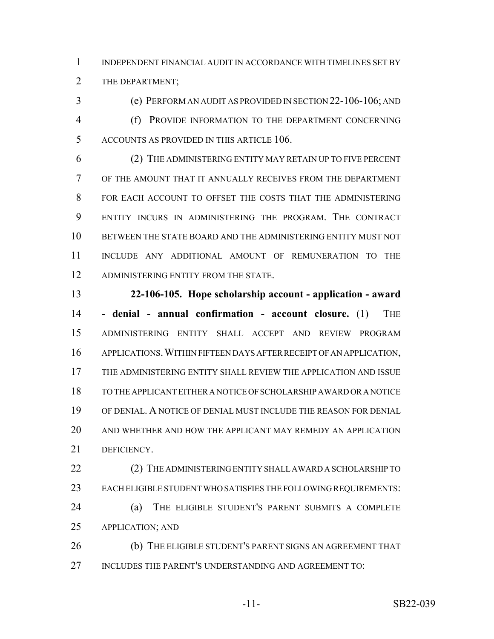INDEPENDENT FINANCIAL AUDIT IN ACCORDANCE WITH TIMELINES SET BY THE DEPARTMENT;

 (e) PERFORM AN AUDIT AS PROVIDED IN SECTION 22-106-106; AND (f) PROVIDE INFORMATION TO THE DEPARTMENT CONCERNING ACCOUNTS AS PROVIDED IN THIS ARTICLE 106.

 (2) THE ADMINISTERING ENTITY MAY RETAIN UP TO FIVE PERCENT OF THE AMOUNT THAT IT ANNUALLY RECEIVES FROM THE DEPARTMENT FOR EACH ACCOUNT TO OFFSET THE COSTS THAT THE ADMINISTERING ENTITY INCURS IN ADMINISTERING THE PROGRAM. THE CONTRACT BETWEEN THE STATE BOARD AND THE ADMINISTERING ENTITY MUST NOT INCLUDE ANY ADDITIONAL AMOUNT OF REMUNERATION TO THE 12 ADMINISTERING ENTITY FROM THE STATE.

 **22-106-105. Hope scholarship account - application - award - denial - annual confirmation - account closure.** (1) THE ADMINISTERING ENTITY SHALL ACCEPT AND REVIEW PROGRAM APPLICATIONS.WITHIN FIFTEEN DAYS AFTER RECEIPT OF AN APPLICATION, THE ADMINISTERING ENTITY SHALL REVIEW THE APPLICATION AND ISSUE TO THE APPLICANT EITHER A NOTICE OF SCHOLARSHIP AWARD OR A NOTICE OF DENIAL. A NOTICE OF DENIAL MUST INCLUDE THE REASON FOR DENIAL AND WHETHER AND HOW THE APPLICANT MAY REMEDY AN APPLICATION DEFICIENCY.

22 (2) THE ADMINISTERING ENTITY SHALL AWARD A SCHOLARSHIP TO EACH ELIGIBLE STUDENT WHO SATISFIES THE FOLLOWING REQUIREMENTS: (a) THE ELIGIBLE STUDENT'S PARENT SUBMITS A COMPLETE APPLICATION; AND

 (b) THE ELIGIBLE STUDENT'S PARENT SIGNS AN AGREEMENT THAT 27 INCLUDES THE PARENT'S UNDERSTANDING AND AGREEMENT TO: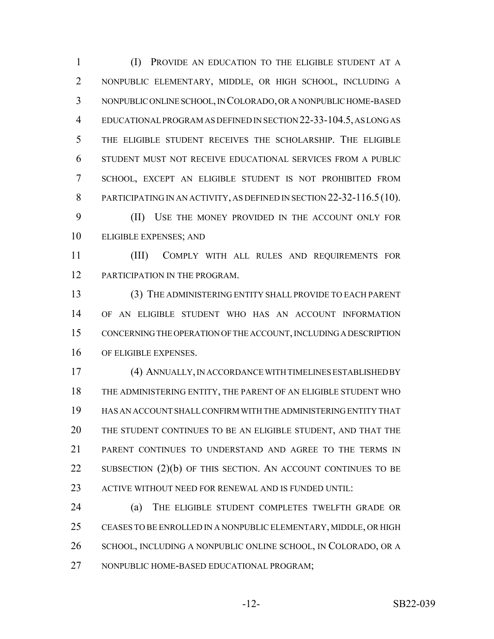(I) PROVIDE AN EDUCATION TO THE ELIGIBLE STUDENT AT A NONPUBLIC ELEMENTARY, MIDDLE, OR HIGH SCHOOL, INCLUDING A NONPUBLIC ONLINE SCHOOL, IN COLORADO, OR A NONPUBLIC HOME-BASED EDUCATIONAL PROGRAM AS DEFINED IN SECTION 22-33-104.5, AS LONG AS THE ELIGIBLE STUDENT RECEIVES THE SCHOLARSHIP. THE ELIGIBLE STUDENT MUST NOT RECEIVE EDUCATIONAL SERVICES FROM A PUBLIC SCHOOL, EXCEPT AN ELIGIBLE STUDENT IS NOT PROHIBITED FROM 8 PARTICIPATING IN AN ACTIVITY, AS DEFINED IN SECTION 22-32-116.5 (10).

 (II) USE THE MONEY PROVIDED IN THE ACCOUNT ONLY FOR ELIGIBLE EXPENSES; AND

 (III) COMPLY WITH ALL RULES AND REQUIREMENTS FOR 12 PARTICIPATION IN THE PROGRAM.

 (3) THE ADMINISTERING ENTITY SHALL PROVIDE TO EACH PARENT OF AN ELIGIBLE STUDENT WHO HAS AN ACCOUNT INFORMATION CONCERNING THE OPERATION OF THE ACCOUNT, INCLUDING A DESCRIPTION OF ELIGIBLE EXPENSES.

 (4) ANNUALLY, IN ACCORDANCE WITH TIMELINES ESTABLISHED BY THE ADMINISTERING ENTITY, THE PARENT OF AN ELIGIBLE STUDENT WHO HAS AN ACCOUNT SHALL CONFIRM WITH THE ADMINISTERING ENTITY THAT THE STUDENT CONTINUES TO BE AN ELIGIBLE STUDENT, AND THAT THE PARENT CONTINUES TO UNDERSTAND AND AGREE TO THE TERMS IN 22 SUBSECTION (2)(b) OF THIS SECTION. AN ACCOUNT CONTINUES TO BE 23 ACTIVE WITHOUT NEED FOR RENEWAL AND IS FUNDED UNTIL:

 (a) THE ELIGIBLE STUDENT COMPLETES TWELFTH GRADE OR CEASES TO BE ENROLLED IN A NONPUBLIC ELEMENTARY, MIDDLE, OR HIGH 26 SCHOOL, INCLUDING A NONPUBLIC ONLINE SCHOOL, IN COLORADO, OR A NONPUBLIC HOME-BASED EDUCATIONAL PROGRAM;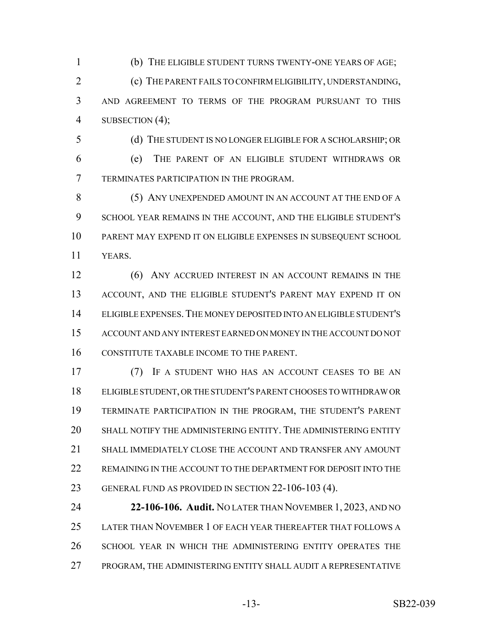(b) THE ELIGIBLE STUDENT TURNS TWENTY-ONE YEARS OF AGE; (c) THE PARENT FAILS TO CONFIRM ELIGIBILITY, UNDERSTANDING, AND AGREEMENT TO TERMS OF THE PROGRAM PURSUANT TO THIS 4 SUBSECTION (4);

 (e) THE PARENT OF AN ELIGIBLE STUDENT WITHDRAWS OR TERMINATES PARTICIPATION IN THE PROGRAM.

(d) THE STUDENT IS NO LONGER ELIGIBLE FOR A SCHOLARSHIP; OR

 (5) ANY UNEXPENDED AMOUNT IN AN ACCOUNT AT THE END OF A SCHOOL YEAR REMAINS IN THE ACCOUNT, AND THE ELIGIBLE STUDENT'S PARENT MAY EXPEND IT ON ELIGIBLE EXPENSES IN SUBSEQUENT SCHOOL YEARS.

12 (6) ANY ACCRUED INTEREST IN AN ACCOUNT REMAINS IN THE ACCOUNT, AND THE ELIGIBLE STUDENT'S PARENT MAY EXPEND IT ON ELIGIBLE EXPENSES.THE MONEY DEPOSITED INTO AN ELIGIBLE STUDENT'S ACCOUNT AND ANY INTEREST EARNED ON MONEY IN THE ACCOUNT DO NOT CONSTITUTE TAXABLE INCOME TO THE PARENT.

 (7) IF A STUDENT WHO HAS AN ACCOUNT CEASES TO BE AN ELIGIBLE STUDENT, OR THE STUDENT'S PARENT CHOOSES TO WITHDRAW OR TERMINATE PARTICIPATION IN THE PROGRAM, THE STUDENT'S PARENT SHALL NOTIFY THE ADMINISTERING ENTITY. THE ADMINISTERING ENTITY SHALL IMMEDIATELY CLOSE THE ACCOUNT AND TRANSFER ANY AMOUNT 22 REMAINING IN THE ACCOUNT TO THE DEPARTMENT FOR DEPOSIT INTO THE GENERAL FUND AS PROVIDED IN SECTION 22-106-103 (4).

 **22-106-106. Audit.** NO LATER THAN NOVEMBER 1, 2023, AND NO LATER THAN NOVEMBER 1 OF EACH YEAR THEREAFTER THAT FOLLOWS A SCHOOL YEAR IN WHICH THE ADMINISTERING ENTITY OPERATES THE 27 PROGRAM, THE ADMINISTERING ENTITY SHALL AUDIT A REPRESENTATIVE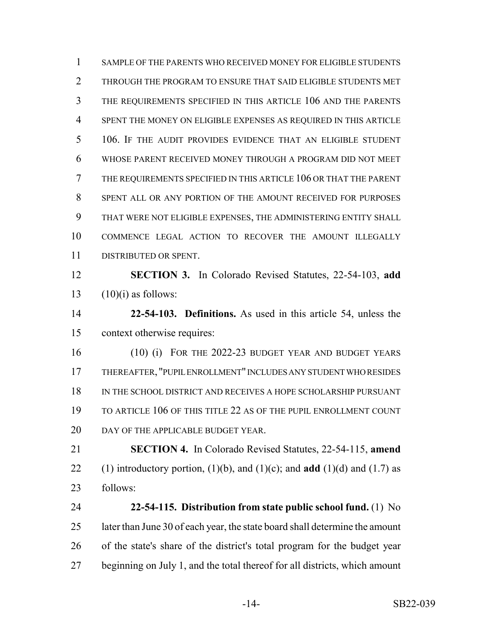SAMPLE OF THE PARENTS WHO RECEIVED MONEY FOR ELIGIBLE STUDENTS THROUGH THE PROGRAM TO ENSURE THAT SAID ELIGIBLE STUDENTS MET THE REQUIREMENTS SPECIFIED IN THIS ARTICLE 106 AND THE PARENTS SPENT THE MONEY ON ELIGIBLE EXPENSES AS REQUIRED IN THIS ARTICLE 106. IF THE AUDIT PROVIDES EVIDENCE THAT AN ELIGIBLE STUDENT WHOSE PARENT RECEIVED MONEY THROUGH A PROGRAM DID NOT MEET THE REQUIREMENTS SPECIFIED IN THIS ARTICLE 106 OR THAT THE PARENT SPENT ALL OR ANY PORTION OF THE AMOUNT RECEIVED FOR PURPOSES THAT WERE NOT ELIGIBLE EXPENSES, THE ADMINISTERING ENTITY SHALL COMMENCE LEGAL ACTION TO RECOVER THE AMOUNT ILLEGALLY DISTRIBUTED OR SPENT. **SECTION 3.** In Colorado Revised Statutes, 22-54-103, **add**  $(10)(i)$  as follows:

 **22-54-103. Definitions.** As used in this article 54, unless the context otherwise requires:

 (10) (i) FOR THE 2022-23 BUDGET YEAR AND BUDGET YEARS THEREAFTER, "PUPIL ENROLLMENT" INCLUDES ANY STUDENT WHO RESIDES IN THE SCHOOL DISTRICT AND RECEIVES A HOPE SCHOLARSHIP PURSUANT TO ARTICLE 106 OF THIS TITLE 22 AS OF THE PUPIL ENROLLMENT COUNT 20 DAY OF THE APPLICABLE BUDGET YEAR.

 **SECTION 4.** In Colorado Revised Statutes, 22-54-115, **amend** 22 (1) introductory portion,  $(1)(b)$ , and  $(1)(c)$ ; and **add**  $(1)(d)$  and  $(1.7)$  as follows:

 **22-54-115. Distribution from state public school fund.** (1) No 25 later than June 30 of each year, the state board shall determine the amount of the state's share of the district's total program for the budget year beginning on July 1, and the total thereof for all districts, which amount